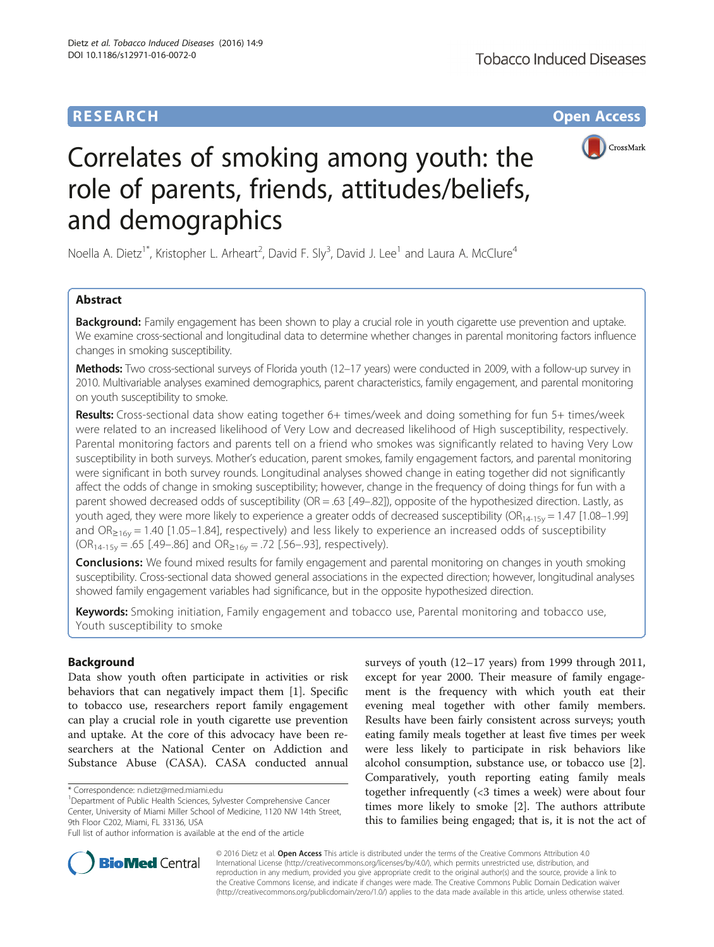# **RESEARCH CHE Open Access**



# Correlates of smoking among youth: the role of parents, friends, attitudes/beliefs, and demographics

Noella A. Dietz<sup>1\*</sup>, Kristopher L. Arheart<sup>2</sup>, David F. Sly<sup>3</sup>, David J. Lee<sup>1</sup> and Laura A. McClure<sup>4</sup>

# Abstract

Background: Family engagement has been shown to play a crucial role in youth cigarette use prevention and uptake. We examine cross-sectional and longitudinal data to determine whether changes in parental monitoring factors influence changes in smoking susceptibility.

Methods: Two cross-sectional surveys of Florida youth (12–17 years) were conducted in 2009, with a follow-up survey in 2010. Multivariable analyses examined demographics, parent characteristics, family engagement, and parental monitoring on youth susceptibility to smoke.

Results: Cross-sectional data show eating together 6+ times/week and doing something for fun 5+ times/week were related to an increased likelihood of Very Low and decreased likelihood of High susceptibility, respectively. Parental monitoring factors and parents tell on a friend who smokes was significantly related to having Very Low susceptibility in both surveys. Mother's education, parent smokes, family engagement factors, and parental monitoring were significant in both survey rounds. Longitudinal analyses showed change in eating together did not significantly affect the odds of change in smoking susceptibility; however, change in the frequency of doing things for fun with a parent showed decreased odds of susceptibility (OR = .63 [.49–.82]), opposite of the hypothesized direction. Lastly, as youth aged, they were more likely to experience a greater odds of decreased susceptibility ( $OR<sub>14-15y</sub> = 1.47$  [1.08–1.99] and OR<sub>≥16y</sub> = 1.40 [1.05–1.84], respectively) and less likely to experience an increased odds of susceptibility  $(OR<sub>14-15y</sub> = .65$  [.49–.86] and  $OR<sub>216y</sub> = .72$  [.56–.93], respectively).

**Conclusions:** We found mixed results for family engagement and parental monitoring on changes in youth smoking susceptibility. Cross-sectional data showed general associations in the expected direction; however, longitudinal analyses showed family engagement variables had significance, but in the opposite hypothesized direction.

Keywords: Smoking initiation, Family engagement and tobacco use, Parental monitoring and tobacco use, Youth susceptibility to smoke

## Background

Data show youth often participate in activities or risk behaviors that can negatively impact them [\[1](#page-8-0)]. Specific to tobacco use, researchers report family engagement can play a crucial role in youth cigarette use prevention and uptake. At the core of this advocacy have been researchers at the National Center on Addiction and Substance Abuse (CASA). CASA conducted annual surveys of youth (12–17 years) from 1999 through 2011, except for year 2000. Their measure of family engagement is the frequency with which youth eat their evening meal together with other family members. Results have been fairly consistent across surveys; youth eating family meals together at least five times per week were less likely to participate in risk behaviors like alcohol consumption, substance use, or tobacco use [\[2](#page-8-0)]. Comparatively, youth reporting eating family meals together infrequently (<3 times a week) were about four times more likely to smoke [[2\]](#page-8-0). The authors attribute this to families being engaged; that is, it is not the act of



© 2016 Dietz et al. **Open Access** This article is distributed under the terms of the Creative Commons Attribution 4.0 International License [\(http://creativecommons.org/licenses/by/4.0/](http://creativecommons.org/licenses/by/4.0/)), which permits unrestricted use, distribution, and reproduction in any medium, provided you give appropriate credit to the original author(s) and the source, provide a link to the Creative Commons license, and indicate if changes were made. The Creative Commons Public Domain Dedication waiver [\(http://creativecommons.org/publicdomain/zero/1.0/](http://creativecommons.org/publicdomain/zero/1.0/)) applies to the data made available in this article, unless otherwise stated.

<sup>\*</sup> Correspondence: [n.dietz@med.miami.edu](mailto:n.dietz@med.miami.edu) <sup>1</sup>

<sup>&</sup>lt;sup>1</sup>Department of Public Health Sciences, Sylvester Comprehensive Cancer Center, University of Miami Miller School of Medicine, 1120 NW 14th Street, 9th Floor C202, Miami, FL 33136, USA

Full list of author information is available at the end of the article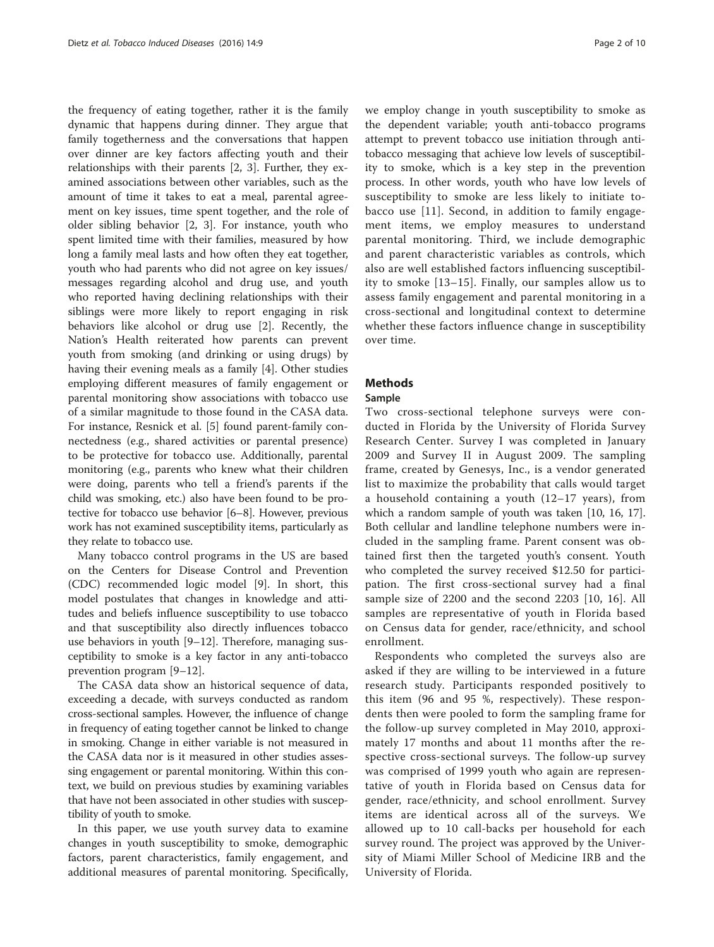the frequency of eating together, rather it is the family dynamic that happens during dinner. They argue that family togetherness and the conversations that happen over dinner are key factors affecting youth and their relationships with their parents [\[2, 3](#page-8-0)]. Further, they examined associations between other variables, such as the amount of time it takes to eat a meal, parental agreement on key issues, time spent together, and the role of older sibling behavior [[2, 3\]](#page-8-0). For instance, youth who spent limited time with their families, measured by how long a family meal lasts and how often they eat together, youth who had parents who did not agree on key issues/ messages regarding alcohol and drug use, and youth who reported having declining relationships with their siblings were more likely to report engaging in risk behaviors like alcohol or drug use [[2\]](#page-8-0). Recently, the Nation's Health reiterated how parents can prevent youth from smoking (and drinking or using drugs) by having their evening meals as a family [\[4](#page-8-0)]. Other studies employing different measures of family engagement or parental monitoring show associations with tobacco use of a similar magnitude to those found in the CASA data. For instance, Resnick et al. [[5\]](#page-8-0) found parent-family connectedness (e.g., shared activities or parental presence) to be protective for tobacco use. Additionally, parental monitoring (e.g., parents who knew what their children were doing, parents who tell a friend's parents if the child was smoking, etc.) also have been found to be protective for tobacco use behavior [\[6](#page-9-0)–[8\]](#page-9-0). However, previous work has not examined susceptibility items, particularly as they relate to tobacco use.

Many tobacco control programs in the US are based on the Centers for Disease Control and Prevention (CDC) recommended logic model [\[9\]](#page-9-0). In short, this model postulates that changes in knowledge and attitudes and beliefs influence susceptibility to use tobacco and that susceptibility also directly influences tobacco use behaviors in youth [\[9](#page-9-0)–[12\]](#page-9-0). Therefore, managing susceptibility to smoke is a key factor in any anti-tobacco prevention program [[9](#page-9-0)–[12](#page-9-0)].

The CASA data show an historical sequence of data, exceeding a decade, with surveys conducted as random cross-sectional samples. However, the influence of change in frequency of eating together cannot be linked to change in smoking. Change in either variable is not measured in the CASA data nor is it measured in other studies assessing engagement or parental monitoring. Within this context, we build on previous studies by examining variables that have not been associated in other studies with susceptibility of youth to smoke.

In this paper, we use youth survey data to examine changes in youth susceptibility to smoke, demographic factors, parent characteristics, family engagement, and additional measures of parental monitoring. Specifically, we employ change in youth susceptibility to smoke as the dependent variable; youth anti-tobacco programs attempt to prevent tobacco use initiation through antitobacco messaging that achieve low levels of susceptibility to smoke, which is a key step in the prevention process. In other words, youth who have low levels of susceptibility to smoke are less likely to initiate tobacco use [[11\]](#page-9-0). Second, in addition to family engagement items, we employ measures to understand parental monitoring. Third, we include demographic and parent characteristic variables as controls, which also are well established factors influencing susceptibility to smoke [[13](#page-9-0)–[15](#page-9-0)]. Finally, our samples allow us to assess family engagement and parental monitoring in a cross-sectional and longitudinal context to determine whether these factors influence change in susceptibility over time.

## Methods

### Sample

Two cross-sectional telephone surveys were conducted in Florida by the University of Florida Survey Research Center. Survey I was completed in January 2009 and Survey II in August 2009. The sampling frame, created by Genesys, Inc., is a vendor generated list to maximize the probability that calls would target a household containing a youth (12–17 years), from which a random sample of youth was taken [[10](#page-9-0), [16, 17](#page-9-0)]. Both cellular and landline telephone numbers were included in the sampling frame. Parent consent was obtained first then the targeted youth's consent. Youth who completed the survey received \$12.50 for participation. The first cross-sectional survey had a final sample size of 2200 and the second 2203 [\[10](#page-9-0), [16\]](#page-9-0). All samples are representative of youth in Florida based on Census data for gender, race/ethnicity, and school enrollment.

Respondents who completed the surveys also are asked if they are willing to be interviewed in a future research study. Participants responded positively to this item (96 and 95 %, respectively). These respondents then were pooled to form the sampling frame for the follow-up survey completed in May 2010, approximately 17 months and about 11 months after the respective cross-sectional surveys. The follow-up survey was comprised of 1999 youth who again are representative of youth in Florida based on Census data for gender, race/ethnicity, and school enrollment. Survey items are identical across all of the surveys. We allowed up to 10 call-backs per household for each survey round. The project was approved by the University of Miami Miller School of Medicine IRB and the University of Florida.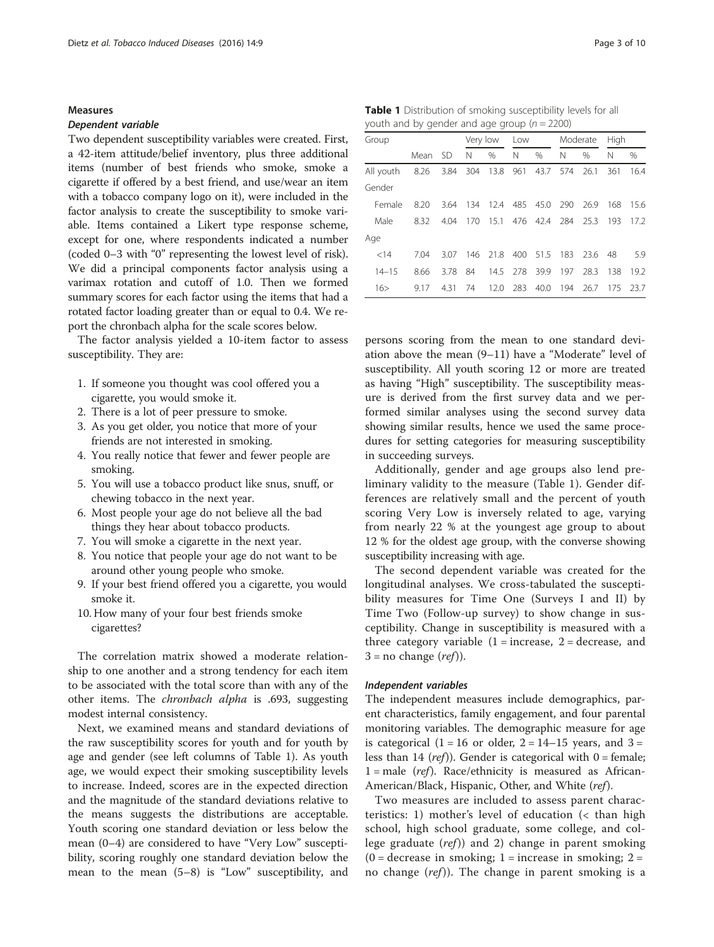## <span id="page-2-0"></span>Measures

#### Dependent variable

Two dependent susceptibility variables were created. First, a 42-item attitude/belief inventory, plus three additional items (number of best friends who smoke, smoke a cigarette if offered by a best friend, and use/wear an item with a tobacco company logo on it), were included in the factor analysis to create the susceptibility to smoke variable. Items contained a Likert type response scheme, except for one, where respondents indicated a number (coded 0–3 with "0" representing the lowest level of risk). We did a principal components factor analysis using a varimax rotation and cutoff of 1.0. Then we formed summary scores for each factor using the items that had a rotated factor loading greater than or equal to 0.4. We report the chronbach alpha for the scale scores below.

The factor analysis yielded a 10-item factor to assess susceptibility. They are:

- 1. If someone you thought was cool offered you a cigarette, you would smoke it.
- 2. There is a lot of peer pressure to smoke.
- 3. As you get older, you notice that more of your friends are not interested in smoking.
- 4. You really notice that fewer and fewer people are smoking.
- 5. You will use a tobacco product like snus, snuff, or chewing tobacco in the next year.
- 6. Most people your age do not believe all the bad things they hear about tobacco products.
- 7. You will smoke a cigarette in the next year.
- 8. You notice that people your age do not want to be around other young people who smoke.
- 9. If your best friend offered you a cigarette, you would smoke it.
- 10. How many of your four best friends smoke cigarettes?

The correlation matrix showed a moderate relationship to one another and a strong tendency for each item to be associated with the total score than with any of the other items. The chronbach alpha is .693, suggesting modest internal consistency.

Next, we examined means and standard deviations of the raw susceptibility scores for youth and for youth by age and gender (see left columns of Table 1). As youth age, we would expect their smoking susceptibility levels to increase. Indeed, scores are in the expected direction and the magnitude of the standard deviations relative to the means suggests the distributions are acceptable. Youth scoring one standard deviation or less below the mean (0–4) are considered to have "Very Low" susceptibility, scoring roughly one standard deviation below the mean to the mean  $(5-8)$  is "Low" susceptibility, and

Table 1 Distribution of smoking susceptibility levels for all youth and by gender and age group  $(n = 2200)$ 

| Group     |                                      |      |       | Very low          |          | Low Moderate High      |     |             |     |          |  |
|-----------|--------------------------------------|------|-------|-------------------|----------|------------------------|-----|-------------|-----|----------|--|
|           | Mean                                 | - SD | N     | %                 | Ν        | $\%$                   | N   | $\%$        | N   | $\%$     |  |
| All youth | 8.26 3.84 304 13.8 961 43.7 574 26.1 |      |       |                   |          |                        |     |             | 361 | 16.4     |  |
| Gender    |                                      |      |       |                   |          |                        |     |             |     |          |  |
| Female    | 8.20                                 | 3.64 | - 134 |                   |          | 12.4 485 45.0 290 26.9 |     |             |     | 168 15.6 |  |
| Male      | 8.32                                 | 4.04 | - 170 |                   |          | 15.1 476 42.4 284 25.3 |     |             | 193 | 17.2     |  |
| Age       |                                      |      |       |                   |          |                        |     |             |     |          |  |
| < 14      | 7.04                                 | 3.07 |       | 146 21.8 400 51.5 |          |                        |     | 183 23.6 48 |     | 5.9      |  |
| $14 - 15$ | 8.66                                 | 3.78 | - 84  |                   | 14.5 278 | 39.9                   | 197 | 28.3        | 138 | 19.2     |  |
| 16 >      | 9.17                                 | 4.31 | 74    |                   | 12.0 283 | 40.0                   | 194 | 26.7        | 175 | 23.7     |  |

persons scoring from the mean to one standard deviation above the mean (9–11) have a "Moderate" level of susceptibility. All youth scoring 12 or more are treated as having "High" susceptibility. The susceptibility measure is derived from the first survey data and we performed similar analyses using the second survey data showing similar results, hence we used the same procedures for setting categories for measuring susceptibility in succeeding surveys.

Additionally, gender and age groups also lend preliminary validity to the measure (Table 1). Gender differences are relatively small and the percent of youth scoring Very Low is inversely related to age, varying from nearly 22 % at the youngest age group to about 12 % for the oldest age group, with the converse showing susceptibility increasing with age.

The second dependent variable was created for the longitudinal analyses. We cross-tabulated the susceptibility measures for Time One (Surveys I and II) by Time Two (Follow-up survey) to show change in susceptibility. Change in susceptibility is measured with a three category variable  $(1 = increase, 2 = decrease, and)$  $3 = no change (ref)$ ).

## Independent variables

The independent measures include demographics, parent characteristics, family engagement, and four parental monitoring variables. The demographic measure for age is categorical  $(1 = 16$  or older,  $2 = 14-15$  years, and  $3 =$ less than 14 (*ref*)). Gender is categorical with  $0 =$  female;  $1 =$  male (*ref*). Race/ethnicity is measured as African-American/Black, Hispanic, Other, and White (ref).

Two measures are included to assess parent characteristics: 1) mother's level of education (< than high school, high school graduate, some college, and college graduate (ref)) and 2) change in parent smoking  $(0 =$  decrease in smoking; 1 = increase in smoking; 2 = no change (ref)). The change in parent smoking is a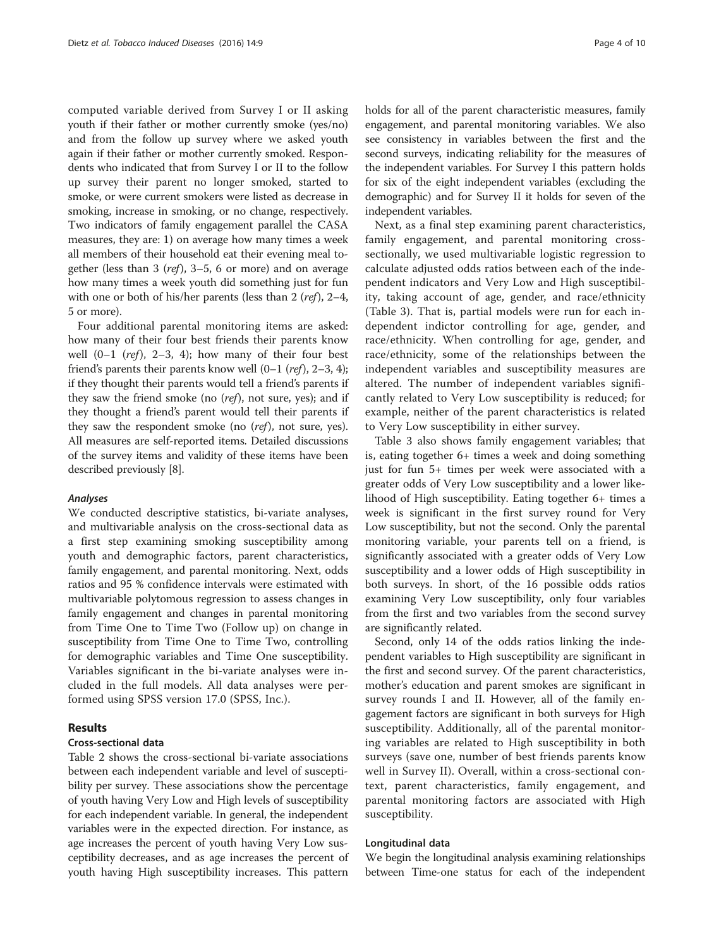computed variable derived from Survey I or II asking youth if their father or mother currently smoke (yes/no) and from the follow up survey where we asked youth again if their father or mother currently smoked. Respondents who indicated that from Survey I or II to the follow up survey their parent no longer smoked, started to smoke, or were current smokers were listed as decrease in smoking, increase in smoking, or no change, respectively. Two indicators of family engagement parallel the CASA measures, they are: 1) on average how many times a week all members of their household eat their evening meal together (less than 3 (ref), 3–5, 6 or more) and on average how many times a week youth did something just for fun with one or both of his/her parents (less than 2 (*ref*), 2–4, 5 or more).

Four additional parental monitoring items are asked: how many of their four best friends their parents know well  $(0-1$  (*ref*), 2-3, 4); how many of their four best friend's parents their parents know well  $(0-1$  (*ref*), 2-3, 4); if they thought their parents would tell a friend's parents if they saw the friend smoke (no (ref), not sure, yes); and if they thought a friend's parent would tell their parents if they saw the respondent smoke (no (ref), not sure, yes). All measures are self-reported items. Detailed discussions of the survey items and validity of these items have been described previously [[8\]](#page-9-0).

## Analyses

We conducted descriptive statistics, bi-variate analyses, and multivariable analysis on the cross-sectional data as a first step examining smoking susceptibility among youth and demographic factors, parent characteristics, family engagement, and parental monitoring. Next, odds ratios and 95 % confidence intervals were estimated with multivariable polytomous regression to assess changes in family engagement and changes in parental monitoring from Time One to Time Two (Follow up) on change in susceptibility from Time One to Time Two, controlling for demographic variables and Time One susceptibility. Variables significant in the bi-variate analyses were included in the full models. All data analyses were performed using SPSS version 17.0 (SPSS, Inc.).

## Results

## Cross-sectional data

Table [2](#page-4-0) shows the cross-sectional bi-variate associations between each independent variable and level of susceptibility per survey. These associations show the percentage of youth having Very Low and High levels of susceptibility for each independent variable. In general, the independent variables were in the expected direction. For instance, as age increases the percent of youth having Very Low susceptibility decreases, and as age increases the percent of youth having High susceptibility increases. This pattern holds for all of the parent characteristic measures, family engagement, and parental monitoring variables. We also see consistency in variables between the first and the second surveys, indicating reliability for the measures of the independent variables. For Survey I this pattern holds for six of the eight independent variables (excluding the demographic) and for Survey II it holds for seven of the independent variables.

Next, as a final step examining parent characteristics, family engagement, and parental monitoring crosssectionally, we used multivariable logistic regression to calculate adjusted odds ratios between each of the independent indicators and Very Low and High susceptibility, taking account of age, gender, and race/ethnicity (Table [3](#page-5-0)). That is, partial models were run for each independent indictor controlling for age, gender, and race/ethnicity. When controlling for age, gender, and race/ethnicity, some of the relationships between the independent variables and susceptibility measures are altered. The number of independent variables significantly related to Very Low susceptibility is reduced; for example, neither of the parent characteristics is related to Very Low susceptibility in either survey.

Table [3](#page-5-0) also shows family engagement variables; that is, eating together 6+ times a week and doing something just for fun 5+ times per week were associated with a greater odds of Very Low susceptibility and a lower likelihood of High susceptibility. Eating together 6+ times a week is significant in the first survey round for Very Low susceptibility, but not the second. Only the parental monitoring variable, your parents tell on a friend, is significantly associated with a greater odds of Very Low susceptibility and a lower odds of High susceptibility in both surveys. In short, of the 16 possible odds ratios examining Very Low susceptibility, only four variables from the first and two variables from the second survey are significantly related.

Second, only 14 of the odds ratios linking the independent variables to High susceptibility are significant in the first and second survey. Of the parent characteristics, mother's education and parent smokes are significant in survey rounds I and II. However, all of the family engagement factors are significant in both surveys for High susceptibility. Additionally, all of the parental monitoring variables are related to High susceptibility in both surveys (save one, number of best friends parents know well in Survey II). Overall, within a cross-sectional context, parent characteristics, family engagement, and parental monitoring factors are associated with High susceptibility.

#### Longitudinal data

We begin the longitudinal analysis examining relationships between Time-one status for each of the independent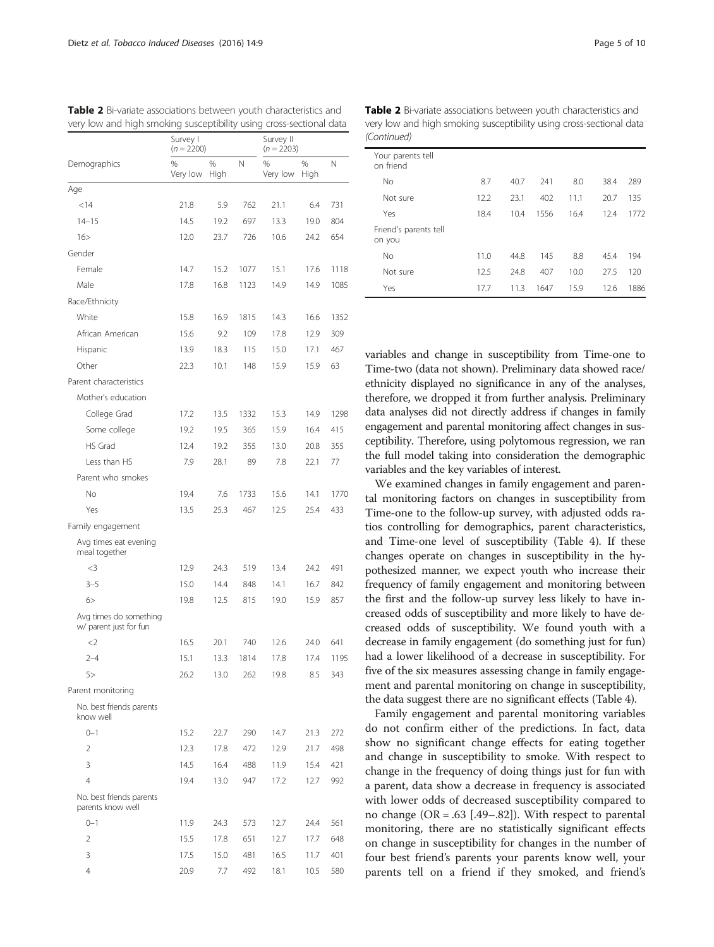|                                                  | Survey I<br>$(n = 2200)$ |           |      | Survey II<br>$(n = 2203)$ |           |      |  |
|--------------------------------------------------|--------------------------|-----------|------|---------------------------|-----------|------|--|
| Demographics                                     | %<br>Very low            | %<br>High | N    | %<br>Very low             | %<br>High | N    |  |
| Age                                              |                          |           |      |                           |           |      |  |
| $<$ 14                                           | 21.8                     | 5.9       | 762  | 21.1                      | 6.4       | 731  |  |
| $14 - 15$                                        | 14.5                     | 19.2      | 697  | 13.3                      | 19.0      | 804  |  |
| 16 >                                             | 12.0                     | 23.7      | 726  | 10.6                      | 24.2      | 654  |  |
| Gender                                           |                          |           |      |                           |           |      |  |
| Female                                           | 14.7                     | 15.2      | 1077 | 15.1                      | 17.6      | 1118 |  |
| Male                                             | 17.8                     | 16.8      | 1123 | 14.9                      | 14.9      | 1085 |  |
| Race/Ethnicity                                   |                          |           |      |                           |           |      |  |
| White                                            | 15.8                     | 16.9      | 1815 | 14.3                      | 16.6      | 1352 |  |
| African American                                 | 15.6                     | 9.2       | 109  | 17.8                      | 12.9      | 309  |  |
| Hispanic                                         | 13.9                     | 18.3      | 115  | 15.0                      | 17.1      | 467  |  |
| Other                                            | 22.3                     | 10.1      | 148  | 15.9                      | 15.9      | 63   |  |
| Parent characteristics                           |                          |           |      |                           |           |      |  |
| Mother's education                               |                          |           |      |                           |           |      |  |
| College Grad                                     | 17.2                     | 13.5      | 1332 | 15.3                      | 14.9      | 1298 |  |
| Some college                                     | 19.2                     | 19.5      | 365  | 15.9                      | 16.4      | 415  |  |
| <b>HS Grad</b>                                   | 12.4                     | 19.2      | 355  | 13.0                      | 20.8      | 355  |  |
| Less than HS                                     | 7.9                      | 28.1      | 89   | 7.8                       | 22.1      | 77   |  |
| Parent who smokes                                |                          |           |      |                           |           |      |  |
| No                                               | 19.4                     | 7.6       | 1733 | 15.6                      | 14.1      | 1770 |  |
| Yes                                              | 13.5                     | 25.3      | 467  | 12.5                      | 25.4      | 433  |  |
| Family engagement                                |                          |           |      |                           |           |      |  |
| Avg times eat evening<br>meal together           |                          |           |      |                           |           |      |  |
| $<$ 3                                            | 12.9                     | 24.3      | 519  | 13.4                      | 24.2      | 491  |  |
| $3 - 5$                                          | 15.0                     | 14.4      | 848  | 14.1                      | 16.7      | 842  |  |
| 6 >                                              | 19.8                     | 12.5      | 815  | 19.0                      | 15.9      | 857  |  |
| Avg times do something<br>w/ parent just for fun |                          |           |      |                           |           |      |  |
| $<$ 2                                            | 16.5                     | 20.1      | 740  | 12.6                      | 24.0      | 641  |  |
| $2 - 4$                                          | 15.1                     | 13.3      | 1814 | 17.8                      | 17.4      | 1195 |  |
| 5>                                               | 26.2                     | 13.0      | 262  | 19.8                      | 8.5       | 343  |  |
| Parent monitoring                                |                          |           |      |                           |           |      |  |
| No. best friends parents<br>know well            |                          |           |      |                           |           |      |  |
| $() - 1$                                         | 15.2                     | 22.7      | 290  | 14.7                      | 21.3      | 272  |  |
| 2                                                | 12.3                     | 17.8      | 472  | 12.9                      | 21.7      | 498  |  |
| 3                                                | 14.5                     | 16.4      | 488  | 11.9                      | 15.4      | 421  |  |
| $\overline{4}$                                   | 19.4                     | 13.0      | 947  | 17.2                      | 12.7      | 992  |  |
| No. best friends parents<br>parents know well    |                          |           |      |                           |           |      |  |
| $0 - 1$                                          | 11.9                     | 24.3      | 573  | 12.7                      | 24.4      | 561  |  |
| 2                                                | 15.5                     | 17.8      | 651  | 12.7                      | 17.7      | 648  |  |
| 3                                                | 17.5                     | 15.0      | 481  | 16.5                      | 11.7      | 401  |  |
| 4                                                | 20.9                     | 7.7       | 492  | 18.1                      | 10.5      | 580  |  |

<span id="page-4-0"></span>Table 2 Bi-variate associations between youth characteristics and very low and high smoking susceptibility using cross-sectional data Table 2 Bi-variate associations between youth characteristics and very low and high smoking susceptibility using cross-sectional data

| (Continued)                     |      |      |      |      |      |      |
|---------------------------------|------|------|------|------|------|------|
| Your parents tell<br>on friend  |      |      |      |      |      |      |
| No                              | 8.7  | 40.7 | 241  | 8.0  | 38.4 | 289  |
| Not sure                        | 12.2 | 23.1 | 402  | 11.1 | 20.7 | 135  |
| Yes                             | 18.4 | 10.4 | 1556 | 16.4 | 12.4 | 1772 |
| Friend's parents tell<br>on you |      |      |      |      |      |      |
| No                              | 11.0 | 44.8 | 145  | 8.8  | 45.4 | 194  |
| Not sure                        | 12.5 | 24.8 | 407  | 10.0 | 27.5 | 120  |
| Yes                             | 17.7 | 11.3 | 1647 | 15.9 | 12.6 | 1886 |

variables and change in susceptibility from Time-one to Time-two (data not shown). Preliminary data showed race/ ethnicity displayed no significance in any of the analyses, therefore, we dropped it from further analysis. Preliminary data analyses did not directly address if changes in family engagement and parental monitoring affect changes in susceptibility. Therefore, using polytomous regression, we ran the full model taking into consideration the demographic variables and the key variables of interest.

We examined changes in family engagement and parental monitoring factors on changes in susceptibility from Time-one to the follow-up survey, with adjusted odds ratios controlling for demographics, parent characteristics, and Time-one level of susceptibility (Table [4\)](#page-6-0). If these changes operate on changes in susceptibility in the hypothesized manner, we expect youth who increase their frequency of family engagement and monitoring between the first and the follow-up survey less likely to have increased odds of susceptibility and more likely to have decreased odds of susceptibility. We found youth with a decrease in family engagement (do something just for fun) had a lower likelihood of a decrease in susceptibility. For five of the six measures assessing change in family engagement and parental monitoring on change in susceptibility, the data suggest there are no significant effects (Table [4](#page-6-0)).

Family engagement and parental monitoring variables do not confirm either of the predictions. In fact, data show no significant change effects for eating together and change in susceptibility to smoke. With respect to change in the frequency of doing things just for fun with a parent, data show a decrease in frequency is associated with lower odds of decreased susceptibility compared to no change (OR = .63 [.49–.82]). With respect to parental monitoring, there are no statistically significant effects on change in susceptibility for changes in the number of four best friend's parents your parents know well, your parents tell on a friend if they smoked, and friend's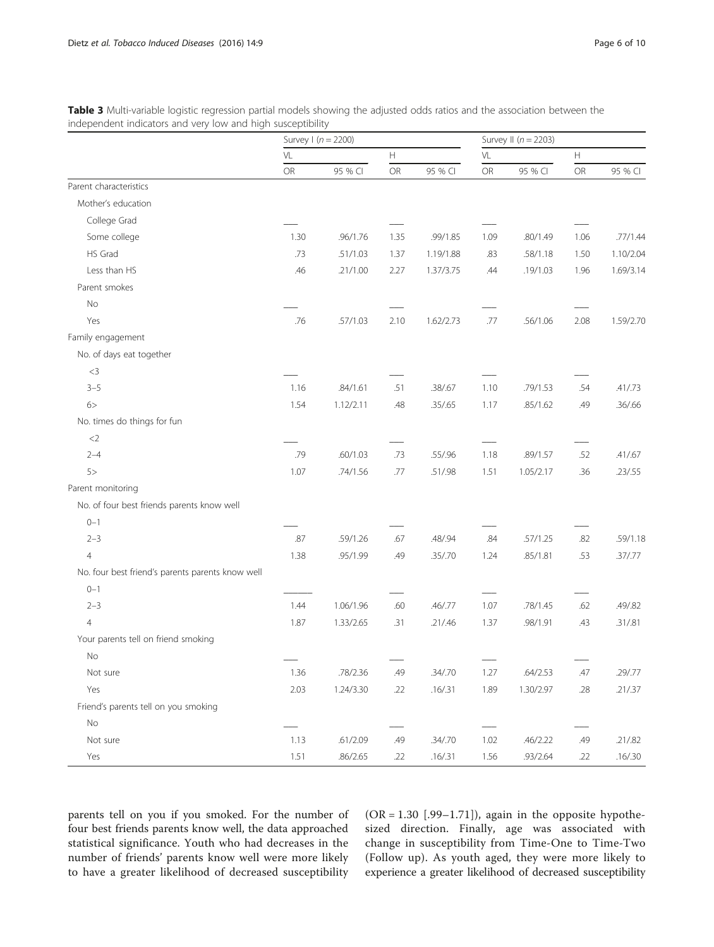|                                                  |      | Survey $1 (n = 2200)$<br>Survey II ( $n = 2203$ ) |                                                             |           |           |           |           |           |
|--------------------------------------------------|------|---------------------------------------------------|-------------------------------------------------------------|-----------|-----------|-----------|-----------|-----------|
|                                                  | VL   |                                                   | $\mathsf{H}% _{\mathbb{R}}^{1}\left( \mathbb{R}^{2}\right)$ |           | VL        |           | H         |           |
|                                                  | OR   | 95 % CI                                           | <b>OR</b>                                                   | 95 % CI   | <b>OR</b> | 95 % CI   | <b>OR</b> | 95 % CI   |
| Parent characteristics                           |      |                                                   |                                                             |           |           |           |           |           |
| Mother's education                               |      |                                                   |                                                             |           |           |           |           |           |
| College Grad                                     |      |                                                   |                                                             |           |           |           |           |           |
| Some college                                     | 1.30 | .96/1.76                                          | 1.35                                                        | .99/1.85  | 1.09      | .80/1.49  | 1.06      | .77/1.44  |
| HS Grad                                          | .73  | .51/1.03                                          | 1.37                                                        | 1.19/1.88 | .83       | .58/1.18  | 1.50      | 1.10/2.04 |
| Less than HS                                     | .46  | .21/1.00                                          | 2.27                                                        | 1.37/3.75 | .44       | .19/1.03  | 1.96      | 1.69/3.14 |
| Parent smokes                                    |      |                                                   |                                                             |           |           |           |           |           |
| No                                               |      |                                                   |                                                             |           |           |           |           |           |
| Yes                                              | .76  | .57/1.03                                          | 2.10                                                        | 1.62/2.73 | .77       | .56/1.06  | 2.08      | 1.59/2.70 |
| Family engagement                                |      |                                                   |                                                             |           |           |           |           |           |
| No. of days eat together                         |      |                                                   |                                                             |           |           |           |           |           |
| $<$ 3                                            |      |                                                   |                                                             |           |           |           |           |           |
| $3 - 5$                                          | 1.16 | .84/1.61                                          | .51                                                         | .38/.67   | 1.10      | .79/1.53  | .54       | .41/.73   |
| 6>                                               | 1.54 | 1.12/2.11                                         | .48                                                         | .35/.65   | 1.17      | .85/1.62  | .49       | .36/0.66  |
| No. times do things for fun                      |      |                                                   |                                                             |           |           |           |           |           |
| $<$ 2                                            |      |                                                   |                                                             |           |           |           |           |           |
| $2 - 4$                                          | .79  | .60/1.03                                          | .73                                                         | .55/.96   | 1.18      | .89/1.57  | .52       | .41/.67   |
| 5>                                               | 1.07 | .74/1.56                                          | .77                                                         | .51/.98   | 1.51      | 1.05/2.17 | .36       | .23/.55   |
| Parent monitoring                                |      |                                                   |                                                             |           |           |           |           |           |
| No. of four best friends parents know well       |      |                                                   |                                                             |           |           |           |           |           |
| $0 - 1$                                          |      |                                                   |                                                             |           |           |           |           |           |
| $2 - 3$                                          | .87  | .59/1.26                                          | .67                                                         | .48/.94   | .84       | .57/1.25  | .82       | .59/1.18  |
| $\overline{4}$                                   | 1.38 | .95/1.99                                          | .49                                                         | .35/.70   | 1.24      | .85/1.81  | .53       | .37/.77   |
| No. four best friend's parents parents know well |      |                                                   |                                                             |           |           |           |           |           |
| $0 - 1$                                          |      |                                                   |                                                             |           |           |           |           |           |
| $2 - 3$                                          | 1.44 | 1.06/1.96                                         | .60                                                         | .46/.77   | 1.07      | .78/1.45  | .62       | .49/.82   |
| $\overline{4}$                                   | 1.87 | 1.33/2.65                                         | .31                                                         | .21/.46   | 1.37      | .98/1.91  | .43       | .31/.81   |
| Your parents tell on friend smoking              |      |                                                   |                                                             |           |           |           |           |           |
| No                                               |      |                                                   |                                                             |           |           |           |           |           |
| Not sure                                         | 1.36 | .78/2.36                                          | .49                                                         | .34 / .70 | 1.27      | .64/2.53  | .47       | .29/.77   |
| Yes                                              | 2.03 | 1.24/3.30                                         | .22                                                         | .16/.31   | 1.89      | 1.30/2.97 | .28       | .21/.37   |
| Friend's parents tell on you smoking             |      |                                                   |                                                             |           |           |           |           |           |
| No                                               |      |                                                   |                                                             |           |           |           |           |           |
| Not sure                                         | 1.13 | .61/2.09                                          | .49                                                         | .34 / .70 | 1.02      | .46/2.22  | .49       | .21/.82   |
| Yes                                              | 1.51 | .86/2.65                                          | .22                                                         | .16/.31   | 1.56      | .93/2.64  | .22       | .16/.30   |

<span id="page-5-0"></span>

|  | Table 3 Multi-variable logistic regression partial models showing the adjusted odds ratios and the association between the |  |  |  |  |  |
|--|----------------------------------------------------------------------------------------------------------------------------|--|--|--|--|--|
|  | independent indicators and very low and high susceptibility                                                                |  |  |  |  |  |

parents tell on you if you smoked. For the number of four best friends parents know well, the data approached statistical significance. Youth who had decreases in the number of friends' parents know well were more likely to have a greater likelihood of decreased susceptibility  $(OR = 1.30$  [.99-1.71]), again in the opposite hypothesized direction. Finally, age was associated with change in susceptibility from Time-One to Time-Two (Follow up). As youth aged, they were more likely to experience a greater likelihood of decreased susceptibility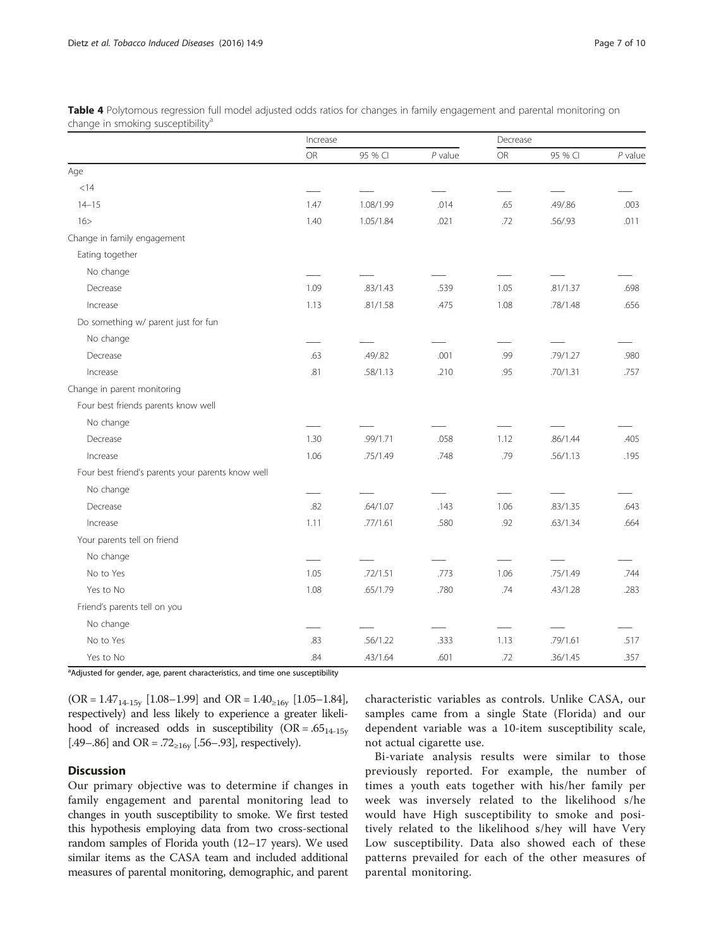<span id="page-6-0"></span>Table 4 Polytomous regression full model adjusted odds ratios for changes in family engagement and parental monitoring on change in smoking susceptibility<sup>a</sup>

|                                                   | Increase  |           |           | Decrease  |          |           |  |
|---------------------------------------------------|-----------|-----------|-----------|-----------|----------|-----------|--|
|                                                   | <b>OR</b> | 95 % CI   | $P$ value | <b>OR</b> | 95 % CI  | $P$ value |  |
| Age                                               |           |           |           |           |          |           |  |
| < 14                                              |           |           |           |           |          |           |  |
| $14 - 15$                                         | 1.47      | 1.08/1.99 | .014      | .65       | .49/.86  | .003      |  |
| 16 >                                              | 1.40      | 1.05/1.84 | .021      | .72       | .56/.93  | .011      |  |
| Change in family engagement                       |           |           |           |           |          |           |  |
| Eating together                                   |           |           |           |           |          |           |  |
| No change                                         |           |           |           |           |          |           |  |
| Decrease                                          | 1.09      | .83/1.43  | .539      | 1.05      | .81/1.37 | .698      |  |
| Increase                                          | 1.13      | .81/1.58  | .475      | 1.08      | .78/1.48 | .656      |  |
| Do something w/ parent just for fun               |           |           |           |           |          |           |  |
| No change                                         |           |           |           |           |          |           |  |
| Decrease                                          | .63       | .49/.82   | .001      | .99       | .79/1.27 | .980      |  |
| Increase                                          | .81       | .58/1.13  | .210      | .95       | .70/1.31 | .757      |  |
| Change in parent monitoring                       |           |           |           |           |          |           |  |
| Four best friends parents know well               |           |           |           |           |          |           |  |
| No change                                         |           |           |           |           |          |           |  |
| Decrease                                          | 1.30      | .99/1.71  | .058      | 1.12      | .86/1.44 | .405      |  |
| Increase                                          | 1.06      | .75/1.49  | .748      | .79       | .56/1.13 | .195      |  |
| Four best friend's parents your parents know well |           |           |           |           |          |           |  |
| No change                                         |           |           |           |           |          |           |  |
| Decrease                                          | .82       | .64/1.07  | .143      | 1.06      | .83/1.35 | .643      |  |
| Increase                                          | 1.11      | .77/1.61  | .580      | .92       | .63/1.34 | .664      |  |
| Your parents tell on friend                       |           |           |           |           |          |           |  |
| No change                                         |           |           |           |           |          |           |  |
| No to Yes                                         | 1.05      | .72/1.51  | .773      | 1.06      | .75/1.49 | .744      |  |
| Yes to No                                         | 1.08      | .65/1.79  | .780      | .74       | .43/1.28 | .283      |  |
| Friend's parents tell on you                      |           |           |           |           |          |           |  |
| No change                                         |           |           |           |           |          |           |  |
| No to Yes                                         | .83       | .56/1.22  | .333      | 1.13      | .79/1.61 | .517      |  |
| Yes to No                                         | .84       | .43/1.64  | .601      | .72       | .36/1.45 | .357      |  |

<sup>a</sup>Adjusted for gender, age, parent characteristics, and time one susceptibility

 $(OR = 1.47<sub>14-15y</sub> [1.08–1.99]$  and  $OR = 1.40<sub>≥16y</sub> [1.05–1.84]$ , respectively) and less likely to experience a greater likelihood of increased odds in susceptibility (OR = .65<sub>14-15y</sub> [.49–.86] and OR = .72<sub>≥16y</sub> [.56–.93], respectively).

# Discussion

Our primary objective was to determine if changes in family engagement and parental monitoring lead to changes in youth susceptibility to smoke. We first tested this hypothesis employing data from two cross-sectional random samples of Florida youth (12–17 years). We used similar items as the CASA team and included additional measures of parental monitoring, demographic, and parent characteristic variables as controls. Unlike CASA, our samples came from a single State (Florida) and our dependent variable was a 10-item susceptibility scale, not actual cigarette use.

Bi-variate analysis results were similar to those previously reported. For example, the number of times a youth eats together with his/her family per week was inversely related to the likelihood s/he would have High susceptibility to smoke and positively related to the likelihood s/hey will have Very Low susceptibility. Data also showed each of these patterns prevailed for each of the other measures of parental monitoring.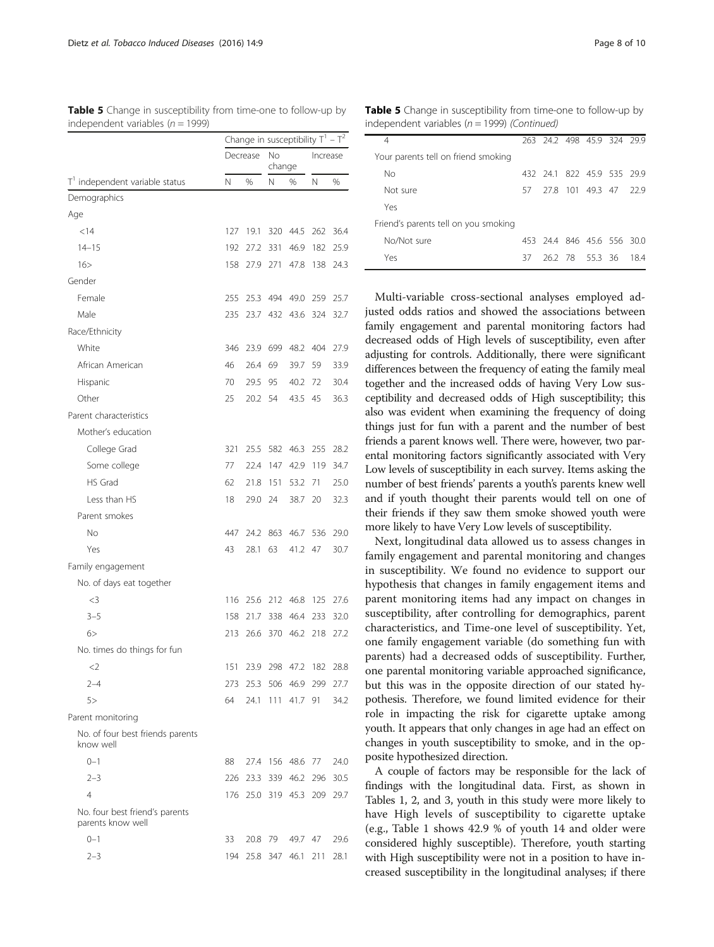|                                                     |     |          | Change in susceptibility $T^1 - T^2$ |                   |          |      |
|-----------------------------------------------------|-----|----------|--------------------------------------|-------------------|----------|------|
|                                                     |     | Decrease | <b>No</b><br>change                  |                   | Increase |      |
| T <sup>1</sup> independent variable status          | Ν   | %        | Ν                                    | %                 | Ν        | %    |
| Demographics                                        |     |          |                                      |                   |          |      |
| Age                                                 |     |          |                                      |                   |          |      |
| $<$ 14                                              | 127 | 19.1     | 320                                  | 44.5              | 262      | 36.4 |
| $14 - 15$                                           | 192 | 27.2     | 331                                  | 46.9              | 182      | 25.9 |
| 16 >                                                | 158 | 27.9     | 271                                  | 47.8              | 138      | 24.3 |
| Gender                                              |     |          |                                      |                   |          |      |
| Female                                              | 255 | 25.3     | 494                                  | 49.0              | 259      | 25.7 |
| Male                                                | 235 | 23.7     | 432                                  | 43.6              | 324      | 32.7 |
| Race/Ethnicity                                      |     |          |                                      |                   |          |      |
| White                                               | 346 | 23.9     | 699                                  | 48.2              | 404      | 27.9 |
| African American                                    | 46  | 26.4     | 69                                   | 39.7              | 59       | 33.9 |
| Hispanic                                            | 70  | 29.5     | 95                                   | 40.2              | 72       | 30.4 |
| Other                                               | 25  | 20.2     | 54                                   | 43.5              | 45       | 36.3 |
| Parent characteristics                              |     |          |                                      |                   |          |      |
| Mother's education                                  |     |          |                                      |                   |          |      |
| College Grad                                        | 321 | 25.5     | 582                                  | 46.3              | 255      | 28.2 |
| Some college                                        | 77  | 22.4     | 147                                  | 42.9              | 119      | 34.7 |
| <b>HS</b> Grad                                      | 62  | 21.8     | 151                                  | 53.2              | 71       | 25.0 |
| Less than HS                                        | 18  | 29.0     | 24                                   | 38.7              | 20       | 32.3 |
| Parent smokes                                       |     |          |                                      |                   |          |      |
| No                                                  | 447 | 24.2     | 863                                  | 46.7              | 536      | 29.0 |
| Yes                                                 | 43  | 28.1     | 63                                   | 41.2              | 47       | 30.7 |
| Family engagement                                   |     |          |                                      |                   |          |      |
| No. of days eat together                            |     |          |                                      |                   |          |      |
| $<$ 3                                               | 116 | 25.6     | 212                                  | 46.8              | 125      | 27.6 |
| $3 - 5$                                             | 158 | 21.7     | 338                                  | 46.4              | 233      | 32.0 |
| 6>                                                  | 213 | 26.6     |                                      | 370 46.2          | 218      | 27.2 |
| No. times do things for fun                         |     |          |                                      |                   |          |      |
| ≤2                                                  | 151 |          |                                      | 23.9 298 47.2     | 182      | 28.8 |
| $2 - 4$                                             | 273 | 25.3     |                                      | 506 46.9          | 299      | 27.7 |
| 5 >                                                 | 64  | 24.1     |                                      | 111 41.7 91       |          | 34.2 |
| Parent monitoring                                   |     |          |                                      |                   |          |      |
| No. of four best friends parents<br>know well       |     |          |                                      |                   |          |      |
| $0 - 1$                                             | 88  | 27.4     |                                      | 156 48.6          | 77       | 24.0 |
| $2 - 3$                                             | 226 | 23.3     |                                      | 339 46.2          | 296      | 30.5 |
| 4                                                   | 176 |          |                                      | 25.0 319 45.3 209 |          | 29.7 |
| No. four best friend's parents<br>parents know well |     |          |                                      |                   |          |      |
| $0 - 1$                                             | 33  | 20.8 79  |                                      | 49.7 47           |          | 29.6 |
| $2 - 3$                                             | 194 | 25.8     |                                      | 347 46.1          | 211      | 28.1 |

<span id="page-7-0"></span>Table 5 Change in susceptibility from time-one to follow-up by independent variables ( $n = 1999$ ) Table 5 Change in susceptibility from time-one to follow-up by  $\frac{1}{2}$ independent variables (n - 1999) (Continued)

| ndependent vanables ( <i>n</i> = 1999) (C <i>ontinued)</i> |    |                            |         |      |
|------------------------------------------------------------|----|----------------------------|---------|------|
| 4                                                          |    | 263 24.2 498 45.9 324 29.9 |         |      |
| Your parents tell on friend smoking                        |    |                            |         |      |
| No                                                         |    | 432 241 822 459 535 299    |         |      |
| Not sure                                                   | 57 | 278 101 493 47             |         | 229  |
| Yes                                                        |    |                            |         |      |
| Friend's parents tell on you smoking                       |    |                            |         |      |
| No/Not sure                                                |    | 453 24.4 846 45.6 556 30.0 |         |      |
| Yes                                                        | 37 | 262 78                     | 55.3 36 | 18.4 |
|                                                            |    |                            |         |      |

Multi-variable cross-sectional analyses employed adjusted odds ratios and showed the associations between family engagement and parental monitoring factors had decreased odds of High levels of susceptibility, even after adjusting for controls. Additionally, there were significant differences between the frequency of eating the family meal together and the increased odds of having Very Low susceptibility and decreased odds of High susceptibility; this also was evident when examining the frequency of doing things just for fun with a parent and the number of best friends a parent knows well. There were, however, two parental monitoring factors significantly associated with Very Low levels of susceptibility in each survey. Items asking the number of best friends' parents a youth's parents knew well and if youth thought their parents would tell on one of their friends if they saw them smoke showed youth were more likely to have Very Low levels of susceptibility.

Next, longitudinal data allowed us to assess changes in family engagement and parental monitoring and changes in susceptibility. We found no evidence to support our hypothesis that changes in family engagement items and parent monitoring items had any impact on changes in susceptibility, after controlling for demographics, parent characteristics, and Time-one level of susceptibility. Yet, one family engagement variable (do something fun with parents) had a decreased odds of susceptibility. Further, one parental monitoring variable approached significance, but this was in the opposite direction of our stated hypothesis. Therefore, we found limited evidence for their role in impacting the risk for cigarette uptake among youth. It appears that only changes in age had an effect on changes in youth susceptibility to smoke, and in the opposite hypothesized direction.

A couple of factors may be responsible for the lack of findings with the longitudinal data. First, as shown in Tables [1,](#page-2-0) [2,](#page-4-0) and [3,](#page-5-0) youth in this study were more likely to have High levels of susceptibility to cigarette uptake (e.g., Table [1](#page-2-0) shows 42.9 % of youth 14 and older were considered highly susceptible). Therefore, youth starting with High susceptibility were not in a position to have increased susceptibility in the longitudinal analyses; if there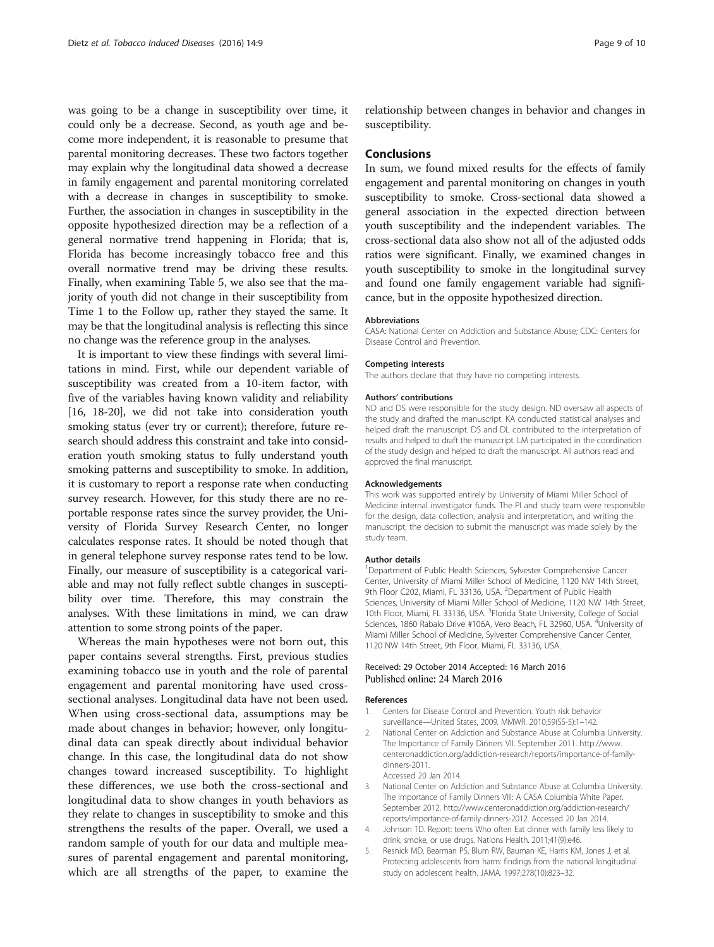<span id="page-8-0"></span>was going to be a change in susceptibility over time, it could only be a decrease. Second, as youth age and become more independent, it is reasonable to presume that parental monitoring decreases. These two factors together may explain why the longitudinal data showed a decrease in family engagement and parental monitoring correlated with a decrease in changes in susceptibility to smoke. Further, the association in changes in susceptibility in the opposite hypothesized direction may be a reflection of a general normative trend happening in Florida; that is, Florida has become increasingly tobacco free and this overall normative trend may be driving these results. Finally, when examining Table [5](#page-7-0), we also see that the majority of youth did not change in their susceptibility from Time 1 to the Follow up, rather they stayed the same. It may be that the longitudinal analysis is reflecting this since no change was the reference group in the analyses.

It is important to view these findings with several limitations in mind. First, while our dependent variable of susceptibility was created from a 10-item factor, with five of the variables having known validity and reliability [[16](#page-9-0), [18-20\]](#page-9-0), we did not take into consideration youth smoking status (ever try or current); therefore, future research should address this constraint and take into consideration youth smoking status to fully understand youth smoking patterns and susceptibility to smoke. In addition, it is customary to report a response rate when conducting survey research. However, for this study there are no reportable response rates since the survey provider, the University of Florida Survey Research Center, no longer calculates response rates. It should be noted though that in general telephone survey response rates tend to be low. Finally, our measure of susceptibility is a categorical variable and may not fully reflect subtle changes in susceptibility over time. Therefore, this may constrain the analyses. With these limitations in mind, we can draw attention to some strong points of the paper.

Whereas the main hypotheses were not born out, this paper contains several strengths. First, previous studies examining tobacco use in youth and the role of parental engagement and parental monitoring have used crosssectional analyses. Longitudinal data have not been used. When using cross-sectional data, assumptions may be made about changes in behavior; however, only longitudinal data can speak directly about individual behavior change. In this case, the longitudinal data do not show changes toward increased susceptibility. To highlight these differences, we use both the cross-sectional and longitudinal data to show changes in youth behaviors as they relate to changes in susceptibility to smoke and this strengthens the results of the paper. Overall, we used a random sample of youth for our data and multiple measures of parental engagement and parental monitoring, which are all strengths of the paper, to examine the

relationship between changes in behavior and changes in susceptibility.

#### Conclusions

In sum, we found mixed results for the effects of family engagement and parental monitoring on changes in youth susceptibility to smoke. Cross-sectional data showed a general association in the expected direction between youth susceptibility and the independent variables. The cross-sectional data also show not all of the adjusted odds ratios were significant. Finally, we examined changes in youth susceptibility to smoke in the longitudinal survey and found one family engagement variable had significance, but in the opposite hypothesized direction.

#### Abbreviations

CASA: National Center on Addiction and Substance Abuse; CDC: Centers for Disease Control and Prevention.

#### Competing interests

The authors declare that they have no competing interests.

#### Authors' contributions

ND and DS were responsible for the study design. ND oversaw all aspects of the study and drafted the manuscript. KA conducted statistical analyses and helped draft the manuscript. DS and DL contributed to the interpretation of results and helped to draft the manuscript. LM participated in the coordination of the study design and helped to draft the manuscript. All authors read and approved the final manuscript.

#### Acknowledgements

This work was supported entirely by University of Miami Miller School of Medicine internal investigator funds. The PI and study team were responsible for the design, data collection, analysis and interpretation, and writing the manuscript; the decision to submit the manuscript was made solely by the study team.

#### Author details

<sup>1</sup>Department of Public Health Sciences, Sylvester Comprehensive Cancer Center, University of Miami Miller School of Medicine, 1120 NW 14th Street, 9th Floor C202, Miami, FL 33136, USA. <sup>2</sup>Department of Public Health Sciences, University of Miami Miller School of Medicine, 1120 NW 14th Street, 10th Floor, Miami, FL 33136, USA. <sup>3</sup> Florida State University, College of Social Sciences, 1860 Rabalo Drive #106A, Vero Beach, FL 32960, USA. <sup>4</sup>University of Miami Miller School of Medicine, Sylvester Comprehensive Cancer Center, 1120 NW 14th Street, 9th Floor, Miami, FL 33136, USA.

#### Received: 29 October 2014 Accepted: 16 March 2016 Published online: 24 March 2016

#### References

- 1. Centers for Disease Control and Prevention. Youth risk behavior surveillance—United States, 2009. MMWR. 2010;59(SS-5):1–142.
- 2. National Center on Addiction and Substance Abuse at Columbia University. The Importance of Family Dinners VII. September 2011. [http://www.](http://www.centeronaddiction.org/addiction-research/reports/importance-of-family-dinners-2011) [centeronaddiction.org/addiction-research/reports/importance-of-family](http://www.centeronaddiction.org/addiction-research/reports/importance-of-family-dinners-2011)[dinners-2011.](http://www.centeronaddiction.org/addiction-research/reports/importance-of-family-dinners-2011) Accessed 20 Jan 2014.
- 3. National Center on Addiction and Substance Abuse at Columbia University. The Importance of Family Dinners VIII: A CASA Columbia White Paper. September 2012. [http://www.centeronaddiction.org/addiction-research/](http://www.centeronaddiction.org/addiction-research/reports/importance-of-family-dinners-2012) [reports/importance-of-family-dinners-2012](http://www.centeronaddiction.org/addiction-research/reports/importance-of-family-dinners-2012). Accessed 20 Jan 2014.
- 4. Johnson TD. Report: teens Who often Eat dinner with family less likely to drink, smoke, or use drugs. Nations Health. 2011;41(9):e46.
- 5. Resnick MD, Bearman PS, Blum RW, Bauman KE, Harris KM, Jones J, et al. Protecting adolescents from harm: findings from the national longitudinal study on adolescent health. JAMA. 1997;278(10):823–32.